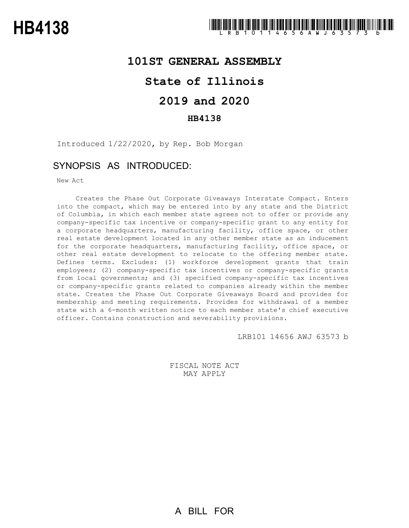## **101ST GENERAL ASSEMBLY**

## **State of Illinois**

# **2019 and 2020**

### **HB4138**

Introduced 1/22/2020, by Rep. Bob Morgan

## SYNOPSIS AS INTRODUCED:

New Act

Creates the Phase Out Corporate Giveaways Interstate Compact. Enters into the compact, which may be entered into by any state and the District of Columbia, in which each member state agrees not to offer or provide any company-specific tax incentive or company-specific grant to any entity for a corporate headquarters, manufacturing facility, office space, or other real estate development located in any other member state as an inducement for the corporate headquarters, manufacturing facility, office space, or other real estate development to relocate to the offering member state. Defines terms. Excludes: (1) workforce development grants that train employees; (2) company-specific tax incentives or company-specific grants from local governments; and (3) specified company-specific tax incentives or company-specific grants related to companies already within the member state. Creates the Phase Out Corporate Giveaways Board and provides for membership and meeting requirements. Provides for withdrawal of a member state with a 6-month written notice to each member state's chief executive officer. Contains construction and severability provisions.

LRB101 14656 AWJ 63573 b

FISCAL NOTE ACT MAY APPLY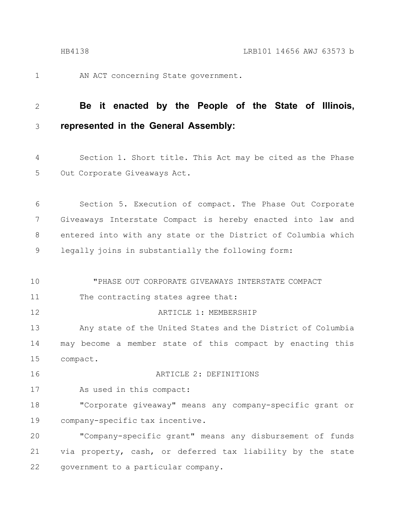1

AN ACT concerning State government.

#### **Be it enacted by the People of the State of Illinois, represented in the General Assembly:** 2 3

Section 1. Short title. This Act may be cited as the Phase Out Corporate Giveaways Act. 4 5

Section 5. Execution of compact. The Phase Out Corporate Giveaways Interstate Compact is hereby enacted into law and entered into with any state or the District of Columbia which legally joins in substantially the following form: 6 7 8 9

"PHASE OUT CORPORATE GIVEAWAYS INTERSTATE COMPACT The contracting states agree that: ARTICLE 1: MEMBERSHIP Any state of the United States and the District of Columbia may become a member state of this compact by enacting this compact. ARTICLE 2: DEFINITIONS As used in this compact: "Corporate giveaway" means any company-specific grant or company-specific tax incentive. "Company-specific grant" means any disbursement of funds via property, cash, or deferred tax liability by the state 10 11 12 13 14 15 16 17 18 19 20 21

government to a particular company. 22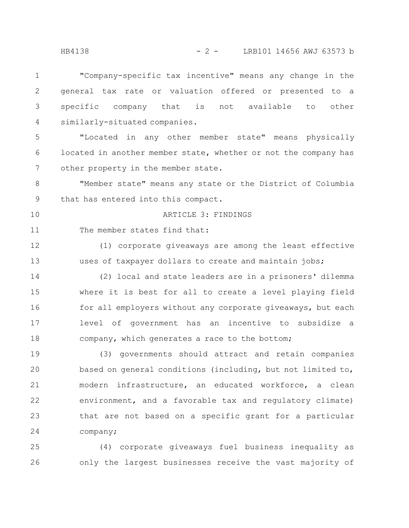"Company-specific tax incentive" means any change in the general tax rate or valuation offered or presented to a specific company that is not available to other similarly-situated companies. "Located in any other member state" means physically located in another member state, whether or not the company has other property in the member state. "Member state" means any state or the District of Columbia that has entered into this compact. ARTICLE 3: FINDINGS The member states find that: (1) corporate giveaways are among the least effective uses of taxpayer dollars to create and maintain jobs; (2) local and state leaders are in a prisoners' dilemma where it is best for all to create a level playing field for all employers without any corporate giveaways, but each level of government has an incentive to subsidize a company, which generates a race to the bottom; (3) governments should attract and retain companies based on general conditions (including, but not limited to, modern infrastructure, an educated workforce, a clean environment, and a favorable tax and regulatory climate) that are not based on a specific grant for a particular company; 1 2 3 4 5 6 7 8 9 10 11 12 13 14 15 16 17 18 19 20 21 22 23 24

(4) corporate giveaways fuel business inequality as only the largest businesses receive the vast majority of 25 26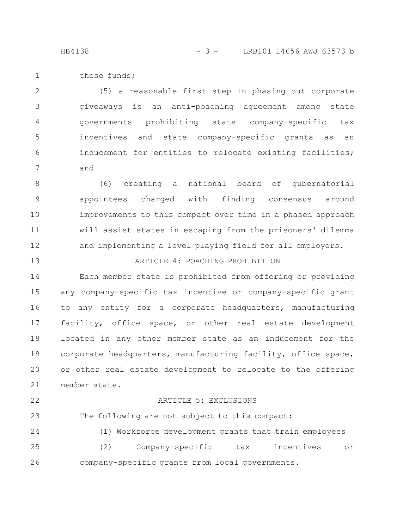HB4138 - 3 - LRB101 14656 AWJ 63573 b

these funds; 1

(5) a reasonable first step in phasing out corporate giveaways is an anti-poaching agreement among state governments prohibiting state company-specific tax incentives and state company-specific grants as an inducement for entities to relocate existing facilities; and 2 3 4 5 6 7

(6) creating a national board of gubernatorial appointees charged with finding consensus around improvements to this compact over time in a phased approach will assist states in escaping from the prisoners' dilemma and implementing a level playing field for all employers. 8 9 10 11 12

ARTICLE 4: POACHING PROHIBITION

Each member state is prohibited from offering or providing any company-specific tax incentive or company-specific grant

to any entity for a corporate headquarters, manufacturing facility, office space, or other real estate development located in any other member state as an inducement for the corporate headquarters, manufacturing facility, office space, or other real estate development to relocate to the offering member state. 16 17 18 19 20 21

13

14

15

### ARTICLE 5: EXCLUSIONS

The following are not subject to this compact: 23

(1) Workforce development grants that train employees (2) Company-specific tax incentives or company-specific grants from local governments. 24 25 26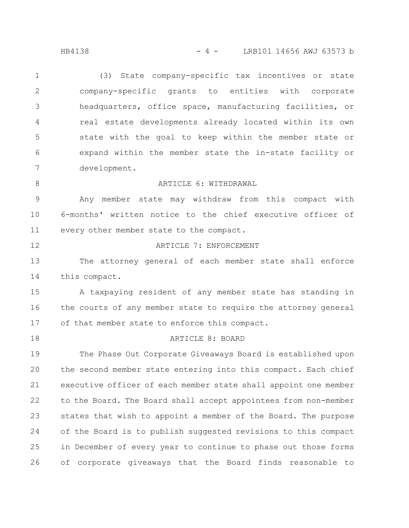HB4138 - 4 - LRB101 14656 AWJ 63573 b

(3) State company-specific tax incentives or state company-specific grants to entities with corporate headquarters, office space, manufacturing facilities, or real estate developments already located within its own state with the goal to keep within the member state or expand within the member state the in-state facility or development. 1 2 3 4 5 6 7

ARTICLE 6: WITHDRAWAL

Any member state may withdraw from this compact with 6-months' written notice to the chief executive officer of every other member state to the compact. 9 10 11

12

8

### ARTICLE 7: ENFORCEMENT

The attorney general of each member state shall enforce this compact. 13 14

A taxpaying resident of any member state has standing in the courts of any member state to require the attorney general of that member state to enforce this compact. 15 16 17

18

#### ARTICLE 8: BOARD

The Phase Out Corporate Giveaways Board is established upon the second member state entering into this compact. Each chief executive officer of each member state shall appoint one member to the Board. The Board shall accept appointees from non-member states that wish to appoint a member of the Board. The purpose of the Board is to publish suggested revisions to this compact in December of every year to continue to phase out those forms of corporate giveaways that the Board finds reasonable to 19 20 21 22 23 24 25 26